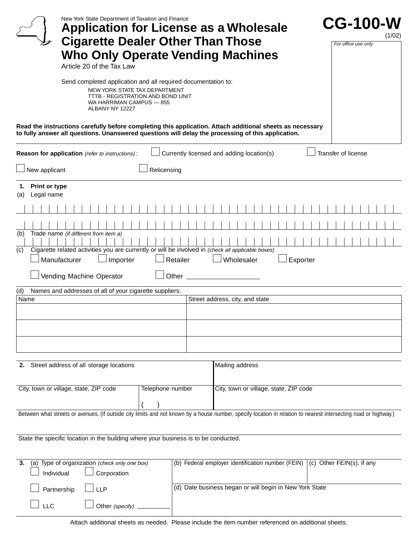| New York State Department of Taxation and Finance<br><b>Application for License as a Wholesale</b><br><b>Cigarette Dealer Other Than Those</b><br><b>Who Only Operate Vending Machines</b><br>Article 20 of the Tax Law | <b>CG-100-W</b><br>(1/02)<br>For office use only |
|-------------------------------------------------------------------------------------------------------------------------------------------------------------------------------------------------------------------------|--------------------------------------------------|
| Send completed application and all required documentation to:<br>NEW YORK STATE TAX DEPARTMENT<br>TTTB - REGISTRATION AND BOND UNIT<br>WA HARRIMAN CAMPUS - 855<br>ALBANY NY 12227                                      |                                                  |
| Read the instructions carefully before completing this application. Attach additional sheets as necessary<br>to fully answer all questions. Unanswered questions will delay the processing of this application.         |                                                  |
| Currently licensed and adding location(s)<br>Reason for application (refer to instructions):                                                                                                                            | Transfer of license                              |
| Relicensing<br>New applicant                                                                                                                                                                                            |                                                  |
| <b>Print or type</b><br>1.<br>Legal name<br>(a)                                                                                                                                                                         |                                                  |
|                                                                                                                                                                                                                         |                                                  |
| Trade name (if different from item a)<br>(b)                                                                                                                                                                            |                                                  |
| Cigarette related activities you are currently or will be involved in (check all applicable boxes)<br>(c)<br>Manufacturer<br>Importer<br>Retailer<br>Wholesaler<br>Exporter                                             |                                                  |
| Vending Machine Operator                                                                                                                                                                                                |                                                  |
| Names and addresses of all of your cigarette suppliers:<br>(d)<br>Street address, city, and state<br>Name                                                                                                               |                                                  |
|                                                                                                                                                                                                                         |                                                  |
|                                                                                                                                                                                                                         |                                                  |
|                                                                                                                                                                                                                         |                                                  |
| 2. Street address of all storage locations<br>Mailing address                                                                                                                                                           |                                                  |
| City, town or village, state, ZIP code<br>Telephone number<br>City, town or village, state, ZIP code                                                                                                                    |                                                  |
| Between what streets or avenues. (If outside city limits and not known by a house number, specify location in relation to nearest intersecting road or highway.)                                                        |                                                  |
| State the specific location in the building where your business is to be conducted.                                                                                                                                     |                                                  |
| (a) Type of organization (check only one box)<br>(b) Federal employer identification number (FEIN)<br>3.<br>Individual<br>Corporation                                                                                   | (c) Other FEIN(s), if any                        |
| (d) Date business began or will begin in New York State<br><b>LLP</b><br>Partnership                                                                                                                                    |                                                  |
| <b>LLC</b><br>Other (specify)                                                                                                                                                                                           |                                                  |
| Attach additional sheets as needed. Please include the item number referenced on additional sheets.                                                                                                                     |                                                  |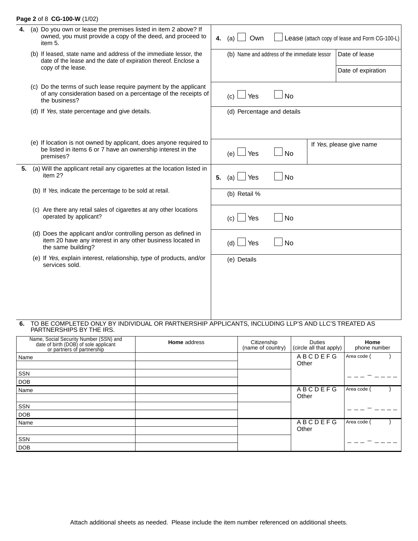## **Page 2** of 8 **CG-100-W** (1/02)

| 4. | (a) Do you own or lease the premises listed in item 2 above? If<br>owned, you must provide a copy of the deed, and proceed to<br>item 5.           |    | 4. $(a)$    | Own          |                                              | Lease (attach copy of lease and Form CG-100-L) |  |
|----|----------------------------------------------------------------------------------------------------------------------------------------------------|----|-------------|--------------|----------------------------------------------|------------------------------------------------|--|
|    | (b) If leased, state name and address of the immediate lessor, the<br>date of the lease and the date of expiration thereof. Enclose a              |    |             |              | (b) Name and address of the immediate lessor | Date of lease                                  |  |
|    | copy of the lease.                                                                                                                                 |    |             |              |                                              | Date of expiration                             |  |
|    | (c) Do the terms of such lease require payment by the applicant<br>of any consideration based on a percentage of the receipts of<br>the business?  |    | (c)         | Yes          | <b>No</b>                                    |                                                |  |
|    | (d) If Yes, state percentage and give details.                                                                                                     |    |             |              | (d) Percentage and details                   |                                                |  |
|    |                                                                                                                                                    |    |             |              |                                              |                                                |  |
|    | (e) If location is not owned by applicant, does anyone required to<br>be listed in items 6 or 7 have an ownership interest in the<br>premises?     |    | (e)         | Yes          | <b>No</b>                                    | If Yes, please give name                       |  |
| 5. | (a) Will the applicant retail any cigarettes at the location listed in<br>item 2?                                                                  | 5. | (a)         | Yes          | No                                           |                                                |  |
|    | (b) If Yes, indicate the percentage to be sold at retail.                                                                                          |    |             | (b) Retail % |                                              |                                                |  |
|    | (c) Are there any retail sales of cigarettes at any other locations<br>operated by applicant?                                                      |    | (c)         | Yes          | No                                           |                                                |  |
|    | (d) Does the applicant and/or controlling person as defined in<br>item 20 have any interest in any other business located in<br>the same building? |    | (d)         | Yes          | <b>No</b>                                    |                                                |  |
|    | (e) If Yes, explain interest, relationship, type of products, and/or<br>services sold.                                                             |    | (e) Details |              |                                              |                                                |  |
|    |                                                                                                                                                    |    |             |              |                                              |                                                |  |
|    |                                                                                                                                                    |    |             |              |                                              |                                                |  |
|    |                                                                                                                                                    |    |             |              |                                              |                                                |  |
|    |                                                                                                                                                    |    |             |              |                                              |                                                |  |

#### **6.** TO BE COMPLETED ONLY BY INDIVIDUAL OR PARTNERSHIP APPLICANTS, INCLUDING LLP'S AND LLC'S TREATED AS PARTNERSHIPS BY THE IRS.

| Name, Social Security Number (SSN) and<br>date of birth (DOB) of sole applicant<br>or partners of partnership | <b>Home</b> address | Citizenship<br>(name of country) | <b>Duties</b><br>(circle all that apply) | Home<br>phone number |
|---------------------------------------------------------------------------------------------------------------|---------------------|----------------------------------|------------------------------------------|----------------------|
| Name                                                                                                          |                     |                                  | <b>ABCDEFG</b>                           | Area code (          |
|                                                                                                               |                     |                                  | Other                                    |                      |
| SSN                                                                                                           |                     |                                  |                                          |                      |
| <b>DOB</b>                                                                                                    |                     |                                  |                                          |                      |
| Name                                                                                                          |                     |                                  | <b>ABCDEFG</b>                           | Area code            |
|                                                                                                               |                     |                                  | Other                                    |                      |
| <b>SSN</b>                                                                                                    |                     |                                  |                                          |                      |
| <b>DOB</b>                                                                                                    |                     |                                  |                                          |                      |
| Name                                                                                                          |                     |                                  | <b>ABCDEFG</b>                           | Area code            |
|                                                                                                               |                     |                                  | Other                                    |                      |
| SSN                                                                                                           |                     |                                  |                                          |                      |
| <b>DOB</b>                                                                                                    |                     |                                  |                                          |                      |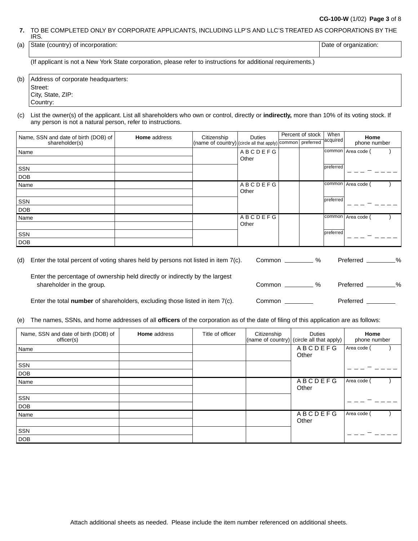### **CG-100-W** (1/02) **Page 3** of 8

**7.** TO BE COMPLETED ONLY BY CORPORATE APPLICANTS, INCLUDING LLP'S AND LLC'S TREATED AS CORPORATIONS BY THE IRS.

| (a) | าcorporation:<br>(country)<br>State<br>$\mathsf{In}$<br>ונו ו | organization.<br>Jate |
|-----|---------------------------------------------------------------|-----------------------|
|     |                                                               |                       |

(If applicant is not a New York State corporation, please refer to instructions for additional requirements.)

(b) Address of corporate headquarters: Street: City, State, ZIP: Country:

(c) List the owner(s) of the applicant. List all shareholders who own or control, directly or **indirectly,** more than 10% of its voting stock. If any person is not a natural person, refer to instructions.

| Name, SSN and date of birth (DOB) of | <b>Home</b> address | Citizenship                                                         | <b>Duties</b>  | Percent of stock | When      | Home         |
|--------------------------------------|---------------------|---------------------------------------------------------------------|----------------|------------------|-----------|--------------|
| shareholder(s)                       |                     | (name of country) (circle all that apply) common preferred acquired |                |                  |           | phone number |
| Name                                 |                     |                                                                     | <b>ABCDEFG</b> |                  | common    | Area code (  |
|                                      |                     |                                                                     | Other          |                  |           |              |
| SSN                                  |                     |                                                                     |                |                  | preferred |              |
| <b>DOB</b>                           |                     |                                                                     |                |                  |           |              |
| Name                                 |                     |                                                                     | <b>ABCDEFG</b> |                  | common    | Area code    |
|                                      |                     |                                                                     | Other          |                  |           |              |
| SSN                                  |                     |                                                                     |                |                  | preferred |              |
| <b>DOB</b>                           |                     |                                                                     |                |                  |           |              |
| Name                                 |                     |                                                                     | <b>ABCDEFG</b> |                  | common    | Area code    |
|                                      |                     |                                                                     | Other          |                  |           |              |
| SSN                                  |                     |                                                                     |                |                  | preferred |              |
| <b>DOB</b>                           |                     |                                                                     |                |                  |           |              |

| (d) | Enter the total percent of voting shares held by persons not listed in item $7(c)$ .                      | %<br>Common <b>Common</b> | %<br>Preferred    |
|-----|-----------------------------------------------------------------------------------------------------------|---------------------------|-------------------|
|     | Enter the percentage of ownership held directly or indirectly by the largest<br>shareholder in the group. | $\frac{1}{2}$<br>Common   | $\%$<br>Preferred |
|     | Enter the total <b>number</b> of shareholders, excluding those listed in item $7(c)$ .                    | Common                    | Preferred         |

(e) The names, SSNs, and home addresses of all **officers** of the corporation as of the date of filing of this application are as follows:

| Name, SSN and date of birth (DOB) of<br>officer(s) | <b>Home</b> address | Title of officer | Citizenship | <b>Duties</b><br>(name of country) (circle all that apply) | Home<br>phone number |
|----------------------------------------------------|---------------------|------------------|-------------|------------------------------------------------------------|----------------------|
| Name                                               |                     |                  |             | ABCDEFG<br>Other                                           | Area code (          |
| SSN                                                |                     |                  |             |                                                            |                      |
| <b>DOB</b><br>Name                                 |                     |                  |             | <b>ABCDEFG</b>                                             | Area code (          |
|                                                    |                     |                  |             | Other                                                      |                      |
| SSN                                                |                     |                  |             |                                                            |                      |
| <b>DOB</b>                                         |                     |                  |             |                                                            |                      |
| Name                                               |                     |                  |             | <b>ABCDEFG</b><br>Other                                    | Area code            |
| SSN                                                |                     |                  |             |                                                            |                      |
| <b>DOB</b>                                         |                     |                  |             |                                                            |                      |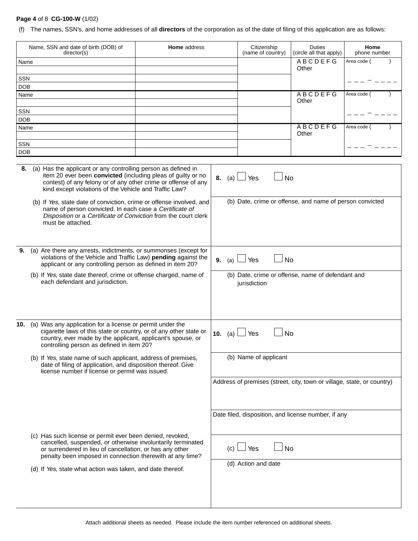## **Page 4** of 8 **CG-100-W** (1/02)

(f) The names, SSN's, and home addresses of all **directors** of the corporation as of the date of filing of this application are as follows:

| Name, SSN and date of birth (DOB) of<br><b>Home</b> address<br>director(s)                                                                                                                                                                                      |                                                                                                                                                                                                  |                                                                                                                                  |                                                                   | Citizenship<br>(name of country) | <b>Duties</b><br>(circle all that apply)                               | Home<br>phone number |  |
|-----------------------------------------------------------------------------------------------------------------------------------------------------------------------------------------------------------------------------------------------------------------|--------------------------------------------------------------------------------------------------------------------------------------------------------------------------------------------------|----------------------------------------------------------------------------------------------------------------------------------|-------------------------------------------------------------------|----------------------------------|------------------------------------------------------------------------|----------------------|--|
| Name                                                                                                                                                                                                                                                            |                                                                                                                                                                                                  |                                                                                                                                  |                                                                   |                                  | <b>ABCDEFG</b><br>Other                                                | Area code (          |  |
| SSN                                                                                                                                                                                                                                                             |                                                                                                                                                                                                  |                                                                                                                                  |                                                                   |                                  |                                                                        |                      |  |
| <b>DOB</b>                                                                                                                                                                                                                                                      |                                                                                                                                                                                                  |                                                                                                                                  |                                                                   |                                  |                                                                        |                      |  |
| Name                                                                                                                                                                                                                                                            |                                                                                                                                                                                                  |                                                                                                                                  |                                                                   |                                  | <b>ABCDEFG</b><br>Other                                                | Area code (          |  |
| SSN                                                                                                                                                                                                                                                             |                                                                                                                                                                                                  |                                                                                                                                  |                                                                   |                                  |                                                                        |                      |  |
| <b>DOB</b><br>Name                                                                                                                                                                                                                                              |                                                                                                                                                                                                  |                                                                                                                                  |                                                                   |                                  | <b>ABCDEFG</b>                                                         | Area code (          |  |
|                                                                                                                                                                                                                                                                 |                                                                                                                                                                                                  |                                                                                                                                  |                                                                   |                                  | Other                                                                  |                      |  |
| SSN                                                                                                                                                                                                                                                             |                                                                                                                                                                                                  |                                                                                                                                  |                                                                   |                                  |                                                                        |                      |  |
| <b>DOB</b>                                                                                                                                                                                                                                                      |                                                                                                                                                                                                  |                                                                                                                                  |                                                                   |                                  |                                                                        |                      |  |
| (a) Has the applicant or any controlling person as defined in<br>8.<br>item 20 ever been convicted (including pleas of guilty or no<br>contest) of any felony or of any other crime or offense of any<br>kind except violations of the Vehicle and Traffic Law? |                                                                                                                                                                                                  |                                                                                                                                  | <b>8.</b> (a) $\lfloor$                                           | Yes<br>No                        |                                                                        |                      |  |
| (b) If Yes, state date of conviction, crime or offense involved, and<br>name of person convicted. In each case a Certificate of<br>Disposition or a Certificate of Conviction from the court clerk<br>must be attached.                                         |                                                                                                                                                                                                  |                                                                                                                                  |                                                                   |                                  | (b) Date, crime or offense, and name of person convicted               |                      |  |
| 9.                                                                                                                                                                                                                                                              | (a) Are there any arrests, indictments, or summonses (except for<br>violations of the Vehicle and Traffic Law) pending against the<br>applicant or any controlling person as defined in item 20? |                                                                                                                                  |                                                                   | <b>No</b><br>Yes<br>9.<br>(a)    |                                                                        |                      |  |
| (b) If Yes, state date thereof, crime or offense charged, name of<br>each defendant and jurisdiction.                                                                                                                                                           |                                                                                                                                                                                                  |                                                                                                                                  | (b) Date, crime or offense, name of defendant and<br>jurisdiction |                                  |                                                                        |                      |  |
| 10.<br>(a) Was any application for a license or permit under the<br>controlling person as defined in item 20?                                                                                                                                                   |                                                                                                                                                                                                  | cigarette laws of this state or country, or of any other state or<br>country, ever made by the applicant, applicant's spouse, or | 10.<br>(a)                                                        | No<br>Yes                        |                                                                        |                      |  |
| (b) If Yes, state name of such applicant, address of premises,<br>license number if license or permit was issued.                                                                                                                                               |                                                                                                                                                                                                  | date of filing of application, and disposition thereof. Give                                                                     |                                                                   | (b) Name of applicant            |                                                                        |                      |  |
|                                                                                                                                                                                                                                                                 |                                                                                                                                                                                                  |                                                                                                                                  |                                                                   |                                  | Address of premises (street, city, town or village, state, or country) |                      |  |
|                                                                                                                                                                                                                                                                 |                                                                                                                                                                                                  |                                                                                                                                  |                                                                   |                                  | Date filed, disposition, and license number, if any                    |                      |  |
| (c) Has such license or permit ever been denied, revoked,<br>or surrendered in lieu of cancellation, or has any other                                                                                                                                           |                                                                                                                                                                                                  | cancelled, suspended, or otherwise involuntarily terminated<br>penalty been imposed in connection therewith at any time?         | (c)                                                               | <b>No</b><br>Yes                 |                                                                        |                      |  |
| (d) If Yes, state what action was taken, and date thereof.                                                                                                                                                                                                      |                                                                                                                                                                                                  |                                                                                                                                  |                                                                   | (d) Action and date              |                                                                        |                      |  |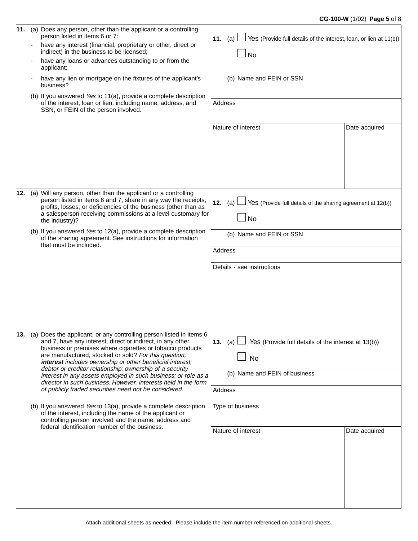## **CG-100-W** (1/02) **Page 5** of 8

| 11. | (a) Does any person, other than the applicant or a controlling<br>person listed in items 6 or 7:<br>have any interest (financial, proprietary or other, direct or<br>indirect) in the business to be licensed;<br>have any loans or advances outstanding to or from the<br>applicant;<br>have any lien or mortgage on the fixtures of the applicant's<br>business?<br>(b) If you answered Yes to 11(a), provide a complete description                                                                                                                                                                                                                                                                                                                                                                                      | Yes (Provide full details of the interest, loan, or lien at 11(b))<br>11. (a)<br><b>No</b><br>(b) Name and FEIN or SSN                                                        |  |  |  |
|-----|-----------------------------------------------------------------------------------------------------------------------------------------------------------------------------------------------------------------------------------------------------------------------------------------------------------------------------------------------------------------------------------------------------------------------------------------------------------------------------------------------------------------------------------------------------------------------------------------------------------------------------------------------------------------------------------------------------------------------------------------------------------------------------------------------------------------------------|-------------------------------------------------------------------------------------------------------------------------------------------------------------------------------|--|--|--|
|     | of the interest, loan or lien, including name, address, and<br>SSN, or FEIN of the person involved.                                                                                                                                                                                                                                                                                                                                                                                                                                                                                                                                                                                                                                                                                                                         | Address<br>Nature of interest<br>Date acquired                                                                                                                                |  |  |  |
| 12. | (a) Will any person, other than the applicant or a controlling<br>person listed in items 6 and 7, share in any way the receipts,<br>profits, losses, or deficiencies of the business (other than as<br>a salesperson receiving commissions at a level customary for<br>the industry)?<br>(b) If you answered Yes to 12(a), provide a complete description<br>of the sharing agreement. See instructions for information<br>that must be included.                                                                                                                                                                                                                                                                                                                                                                           | Yes (Provide full details of the sharing agreement at 12(b))<br>12. (a)<br>No<br>(b) Name and FEIN or SSN<br>Address<br>Details - see instructions                            |  |  |  |
|     | 13. (a) Does the applicant, or any controlling person listed in items 6<br>and 7, have any interest, direct or indirect, in any other<br>business or premises where cigarettes or tobacco products<br>are manufactured, stocked or sold? For this question,<br>interest includes ownership or other beneficial interest;<br>debtor or creditor relationship; ownership of a security<br>interest in any assets employed in such business; or role as a<br>director in such business. However, interests held in the form<br>of publicly traded securities need not be considered.<br>(b) If you answered Yes to 13(a), provide a complete description<br>of the interest, including the name of the applicant or<br>controlling person involved and the name, address and<br>federal identification number of the business. | Yes (Provide full details of the interest at 13(b))<br>13. $(a)$<br>No<br>(b) Name and FEIN of business<br>Address<br>Type of business<br>Nature of interest<br>Date acquired |  |  |  |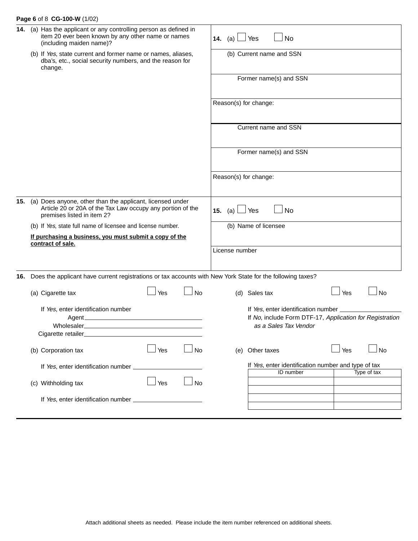## **Page 6** of 8 **CG-100-W** (1/02)

| 14. |                                                                                                                                                                                        | (a) Has the applicant or any controlling person as defined in<br>item 20 ever been known by any other name or names<br>(including maiden name)? |     |           | 14. (a)                                                                                                                             | No<br>Yes                                           |     |             |  |
|-----|----------------------------------------------------------------------------------------------------------------------------------------------------------------------------------------|-------------------------------------------------------------------------------------------------------------------------------------------------|-----|-----------|-------------------------------------------------------------------------------------------------------------------------------------|-----------------------------------------------------|-----|-------------|--|
|     | (b) If Yes, state current and former name or names, aliases,<br>dba's, etc., social security numbers, and the reason for<br>change.                                                    |                                                                                                                                                 |     |           |                                                                                                                                     | (b) Current name and SSN                            |     |             |  |
|     |                                                                                                                                                                                        |                                                                                                                                                 |     |           |                                                                                                                                     | Former name(s) and SSN                              |     |             |  |
|     |                                                                                                                                                                                        |                                                                                                                                                 |     |           | Reason(s) for change:                                                                                                               |                                                     |     |             |  |
|     |                                                                                                                                                                                        |                                                                                                                                                 |     |           |                                                                                                                                     | Current name and SSN                                |     |             |  |
|     |                                                                                                                                                                                        |                                                                                                                                                 |     |           | Former name(s) and SSN                                                                                                              |                                                     |     |             |  |
|     |                                                                                                                                                                                        |                                                                                                                                                 |     |           | Reason(s) for change:                                                                                                               |                                                     |     |             |  |
| 15. | (a) Does anyone, other than the applicant, licensed under<br>Article 20 or 20A of the Tax Law occupy any portion of the<br>premises listed in item 2?                                  |                                                                                                                                                 |     |           | 15. $(a)$                                                                                                                           | Yes<br>No                                           |     |             |  |
|     |                                                                                                                                                                                        | (b) If Yes, state full name of licensee and license number.                                                                                     |     |           |                                                                                                                                     | (b) Name of licensee                                |     |             |  |
|     |                                                                                                                                                                                        | If purchasing a business, you must submit a copy of the                                                                                         |     |           |                                                                                                                                     |                                                     |     |             |  |
|     |                                                                                                                                                                                        | contract of sale.                                                                                                                               |     |           |                                                                                                                                     |                                                     |     |             |  |
|     |                                                                                                                                                                                        |                                                                                                                                                 |     |           | License number                                                                                                                      |                                                     |     |             |  |
|     |                                                                                                                                                                                        | 16. Does the applicant have current registrations or tax accounts with New York State for the following taxes?                                  |     |           |                                                                                                                                     |                                                     |     |             |  |
|     |                                                                                                                                                                                        | (a) Cigarette tax                                                                                                                               | Yes | No        |                                                                                                                                     | (d) Sales tax                                       | Yes | No          |  |
|     | If Yes, enter identification number<br><u> 1989 - Johann Stoff, deutscher Stoffen und der Stoffen und der Stoffen und der Stoffen und der Stoffen und der</u><br>Agent_<br>Wholesaler_ |                                                                                                                                                 |     |           | If Yes, enter identification number __________<br>If No, include Form DTF-17, Application for Registration<br>as a Sales Tax Vendor |                                                     |     |             |  |
|     |                                                                                                                                                                                        | Cigarette retailer                                                                                                                              |     |           |                                                                                                                                     |                                                     |     |             |  |
|     |                                                                                                                                                                                        | (b) Corporation tax                                                                                                                             | Yes | <b>No</b> | (e)                                                                                                                                 | Other taxes                                         | Yes | <b>No</b>   |  |
|     | If Yes, enter identification number _                                                                                                                                                  |                                                                                                                                                 |     |           |                                                                                                                                     | If Yes, enter identification number and type of tax |     |             |  |
|     |                                                                                                                                                                                        | (c) Withholding tax                                                                                                                             | Yes | No        |                                                                                                                                     | ID number                                           |     | Type of tax |  |
|     |                                                                                                                                                                                        |                                                                                                                                                 |     |           |                                                                                                                                     |                                                     |     |             |  |
|     |                                                                                                                                                                                        |                                                                                                                                                 |     |           |                                                                                                                                     |                                                     |     |             |  |
|     |                                                                                                                                                                                        |                                                                                                                                                 |     |           |                                                                                                                                     |                                                     |     |             |  |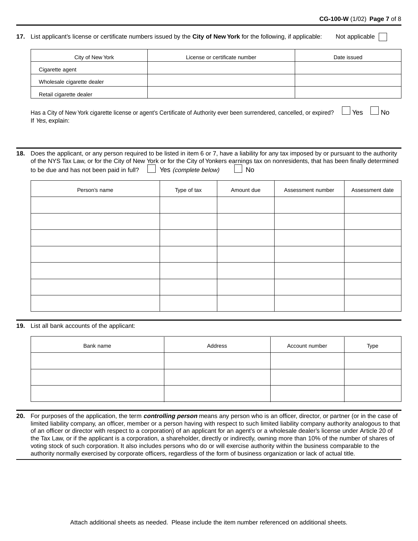#### **CG-100-W** (1/02) **Page 7** of 8

#### **17.** List applicant's license or certificate numbers issued by the **City of New York** for the following, if applicable: Not applicable

| City of New York           | License or certificate number | Date issued |
|----------------------------|-------------------------------|-------------|
| Cigarette agent            |                               |             |
| Wholesale cigarette dealer |                               |             |
| Retail cigarette dealer    |                               |             |

Has a City of New York cigarette license or agent's Certificate of Authority ever been surrendered, cancelled, or expired?  $\Box$  Yes  $\Box$  No If Yes, explain:

**18.** Does the applicant, or any person required to be listed in item 6 or 7, have a liability for any tax imposed by or pursuant to the authority of the NYS Tax Law, or for the City of New York or for the City of Yonkers earnings tax on nonresidents, that has been finally determined to be due and has not been paid in full?  $\Box$  Yes (complete below)  $\Box$  No

| Person's name | Type of tax | Amount due | Assessment number | Assessment date |
|---------------|-------------|------------|-------------------|-----------------|
|               |             |            |                   |                 |
|               |             |            |                   |                 |
|               |             |            |                   |                 |
|               |             |            |                   |                 |
|               |             |            |                   |                 |
|               |             |            |                   |                 |
|               |             |            |                   |                 |

#### **19.** List all bank accounts of the applicant:

| Bank name | Address | Account number | Type |
|-----------|---------|----------------|------|
|           |         |                |      |
|           |         |                |      |
|           |         |                |      |

**20.** For purposes of the application, the term **controlling person** means any person who is an officer, director, or partner (or in the case of limited liability company, an officer, member or a person having with respect to such limited liability company authority analogous to that of an officer or director with respect to a corporation) of an applicant for an agent's or a wholesale dealer's license under Article 20 of the Tax Law, or if the applicant is a corporation, a shareholder, directly or indirectly, owning more than 10% of the number of shares of voting stock of such corporation. It also includes persons who do or will exercise authority within the business comparable to the authority normally exercised by corporate officers, regardless of the form of business organization or lack of actual title.